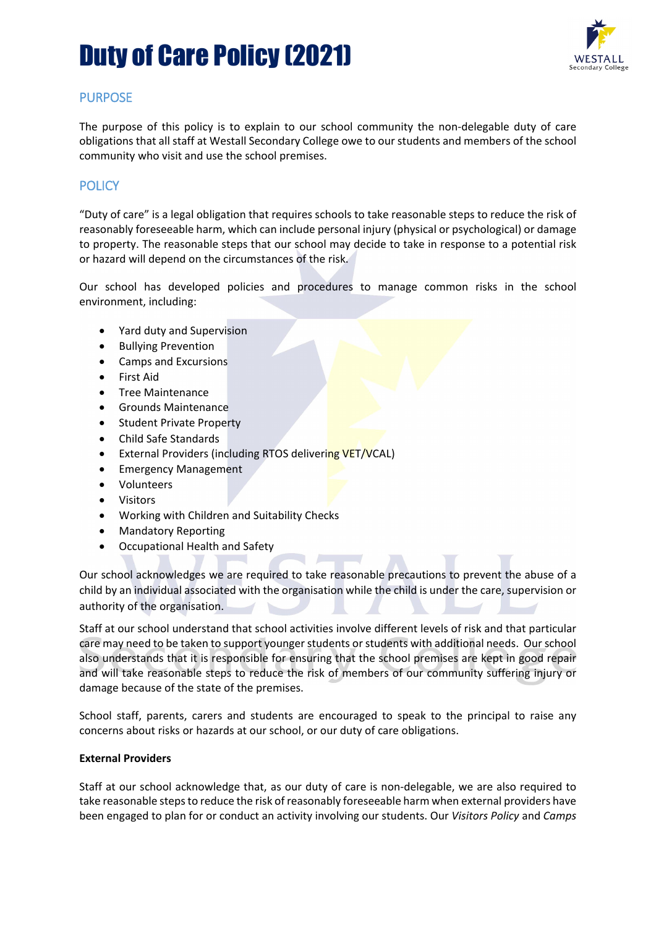### Duty of Care Policy (2021)



### PURPOSE

The purpose of this policy is to explain to our school community the non-delegable duty of care obligations that all staff at Westall Secondary College owe to our students and members of the school community who visit and use the school premises.

### **POLICY**

"Duty of care" is a legal obligation that requires schools to take reasonable steps to reduce the risk of reasonably foreseeable harm, which can include personal injury (physical or psychological) or damage to property. The reasonable steps that our school may decide to take in response to a potential risk or hazard will depend on the circumstances of the risk.

Our school has developed policies and procedures to manage common risks in the school environment, including:

- Yard duty and Supervision
- Bullying Prevention
- Camps and Excursions
- First Aid
- Tree Maintenance
- Grounds Maintenance
- Student Private Property
- Child Safe Standards
- External Providers (including RTOS delivering VET/VCAL)
- Emergency Management
- Volunteers
- **Visitors**
- Working with Children and Suitability Checks
- Mandatory Reporting
- Occupational Health and Safety

Our school acknowledges we are required to take reasonable precautions to prevent the abuse of a child by an individual associated with the organisation while the child is under the care, supervision or authority of the organisation.

Staff at our school understand that school activities involve different levels of risk and that particular care may need to be taken to support younger students or students with additional needs. Our school also understands that it is responsible for ensuring that the school premises are kept in good repair and will take reasonable steps to reduce the risk of members of our community suffering injury or damage because of the state of the premises.

School staff, parents, carers and students are encouraged to speak to the principal to raise any concerns about risks or hazards at our school, or our duty of care obligations.

#### **External Providers**

Staff at our school acknowledge that, as our duty of care is non-delegable, we are also required to take reasonable steps to reduce the risk of reasonably foreseeable harm when external providers have been engaged to plan for or conduct an activity involving our students. Our *Visitors Policy* and *Camps*